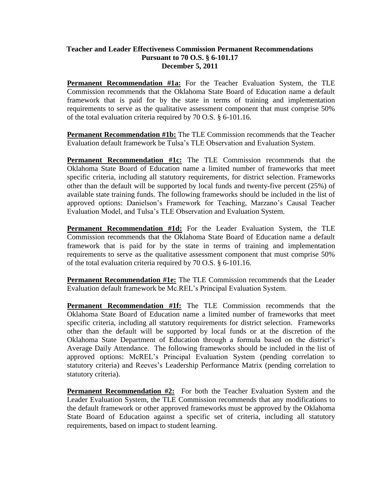## **Teacher and Leader Effectiveness Commission Permanent Recommendations Pursuant to 70 O.S. § 6-101.17 December 5, 2011**

**Permanent Recommendation #1a:** For the Teacher Evaluation System, the TLE Commission recommends that the Oklahoma State Board of Education name a default framework that is paid for by the state in terms of training and implementation requirements to serve as the qualitative assessment component that must comprise 50% of the total evaluation criteria required by 70 O.S. § 6-101.16.

**Permanent Recommendation #1b:** The TLE Commission recommends that the Teacher Evaluation default framework be Tulsa's TLE Observation and Evaluation System.

**Permanent Recommendation #1c:** The TLE Commission recommends that the Oklahoma State Board of Education name a limited number of frameworks that meet specific criteria, including all statutory requirements, for district selection. Frameworks other than the default will be supported by local funds and twenty-five percent (25%) of available state training funds. The following frameworks should be included in the list of approved options: Danielson's Framework for Teaching, Marzano's Causal Teacher Evaluation Model, and Tulsa's TLE Observation and Evaluation System.

**Permanent Recommendation #1d:** For the Leader Evaluation System, the TLE Commission recommends that the Oklahoma State Board of Education name a default framework that is paid for by the state in terms of training and implementation requirements to serve as the qualitative assessment component that must comprise 50% of the total evaluation criteria required by 70 O.S. § 6-101.16.

**Permanent Recommendation #1e:** The TLE Commission recommends that the Leader Evaluation default framework be Mc.REL's Principal Evaluation System.

**Permanent Recommendation #1f:** The TLE Commission recommends that the Oklahoma State Board of Education name a limited number of frameworks that meet specific criteria, including all statutory requirements for district selection. Frameworks other than the default will be supported by local funds or at the discretion of the Oklahoma State Department of Education through a formula based on the district's Average Daily Attendance. The following frameworks should be included in the list of approved options: McREL's Principal Evaluation System (pending correlation to statutory criteria) and Reeves's Leadership Performance Matrix (pending correlation to statutory criteria).

**Permanent Recommendation #2:** For both the Teacher Evaluation System and the Leader Evaluation System, the TLE Commission recommends that any modifications to the default framework or other approved frameworks must be approved by the Oklahoma State Board of Education against a specific set of criteria, including all statutory requirements, based on impact to student learning.